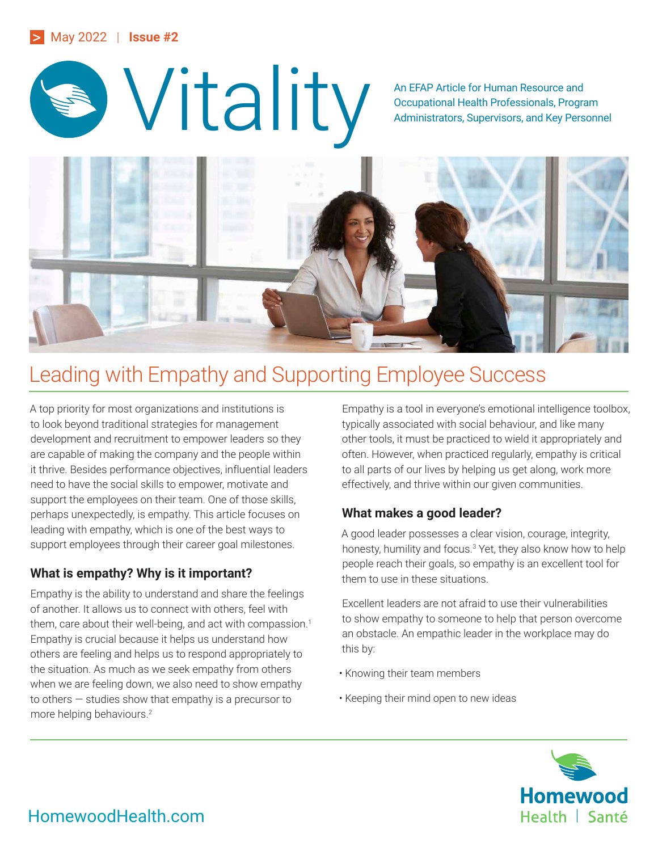#### > May 2022 | **Issue #2**



Occupational Health Professionals, Program Administrators, Supervisors, and Key Personnel



# Leading with Empathy and Supporting Employee Success

A top priority for most organizations and institutions is to look beyond traditional strategies for management development and recruitment to empower leaders so they are capable of making the company and the people within it thrive. Besides performance objectives, influential leaders need to have the social skills to empower, motivate and support the employees on their team. One of those skills, perhaps unexpectedly, is empathy. This article focuses on leading with empathy, which is one of the best ways to support employees through their career goal milestones.

## **What is empathy? Why is it important?**

Empathy is the ability to understand and share the feelings of another. It allows us to connect with others, feel with them, care about their well-being, and act with compassion.<sup>1</sup> Empathy is crucial because it helps us understand how others are feeling and helps us to respond appropriately to the situation. As much as we seek empathy from others when we are feeling down, we also need to show empathy to others — studies show that empathy is a precursor to more helping behaviours.2

Empathy is a tool in everyone's emotional intelligence toolbox, typically associated with social behaviour, and like many other tools, it must be practiced to wield it appropriately and often. However, when practiced regularly, empathy is critical to all parts of our lives by helping us get along, work more effectively, and thrive within our given communities.

#### **What makes a good leader?**

A good leader possesses a clear vision, courage, integrity, honesty, humility and focus.<sup>3</sup> Yet, they also know how to help people reach their goals, so empathy is an excellent tool for them to use in these situations.

Excellent leaders are not afraid to use their vulnerabilities to show empathy to someone to help that person overcome an obstacle. An empathic leader in the workplace may do this by:

- Knowing their team members
- Keeping their mind open to new ideas



# HomewoodHealth.com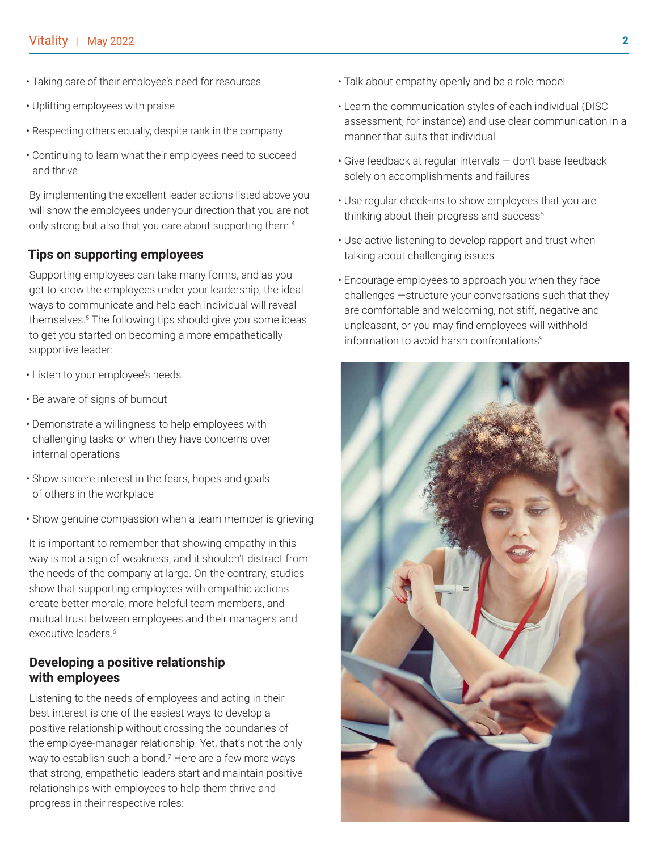- Taking care of their employee's need for resources
- Uplifting employees with praise
- Respecting others equally, despite rank in the company
- Continuing to learn what their employees need to succeed and thrive

By implementing the excellent leader actions listed above you will show the employees under your direction that you are not only strong but also that you care about supporting them.4

#### **Tips on supporting employees**

Supporting employees can take many forms, and as you get to know the employees under your leadership, the ideal ways to communicate and help each individual will reveal themselves.5 The following tips should give you some ideas to get you started on becoming a more empathetically supportive leader:

- Listen to your employee's needs
- Be aware of signs of burnout
- Demonstrate a willingness to help employees with challenging tasks or when they have concerns over internal operations
- Show sincere interest in the fears, hopes and goals of others in the workplace
- Show genuine compassion when a team member is grieving

It is important to remember that showing empathy in this way is not a sign of weakness, and it shouldn't distract from the needs of the company at large. On the contrary, studies show that supporting employees with empathic actions create better morale, more helpful team members, and mutual trust between employees and their managers and executive leaders.<sup>6</sup>

#### **Developing a positive relationship with employees**

Listening to the needs of employees and acting in their best interest is one of the easiest ways to develop a positive relationship without crossing the boundaries of the employee-manager relationship. Yet, that's not the only way to establish such a bond.<sup>7</sup> Here are a few more ways that strong, empathetic leaders start and maintain positive relationships with employees to help them thrive and progress in their respective roles:

- Talk about empathy openly and be a role model
- Learn the communication styles of each individual (DISC assessment, for instance) and use clear communication in a manner that suits that individual
- Give feedback at regular intervals don't base feedback solely on accomplishments and failures
- Use regular check-ins to show employees that you are thinking about their progress and success<sup>8</sup>
- Use active listening to develop rapport and trust when talking about challenging issues
- Encourage employees to approach you when they face challenges —structure your conversations such that they are comfortable and welcoming, not stiff, negative and unpleasant, or you may find employees will withhold information to avoid harsh confrontations<sup>9</sup>